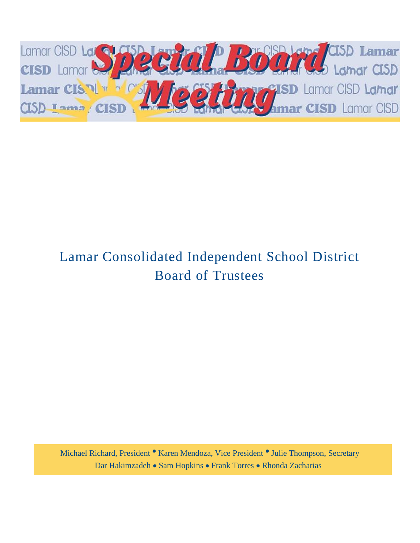

# Lamar Consolidated Independent School District Board of Trustees

Michael Richard, President <sup>·</sup> Karen Mendoza, Vice President <sup>·</sup> Julie Thompson, Secretary Dar Hakimzadeh • Sam Hopkins • Frank Torres • Rhonda Zacharias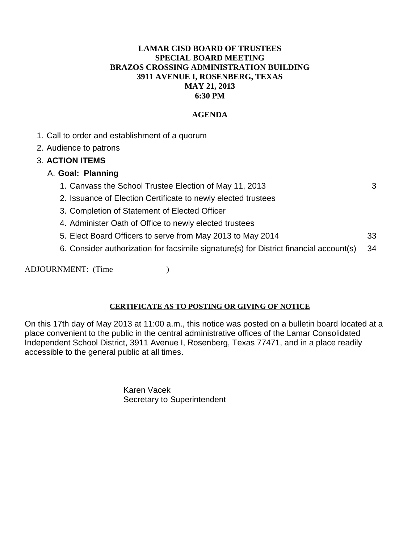#### **LAMAR CISD BOARD OF TRUSTEES SPECIAL BOARD MEETING BRAZOS CROSSING ADMINISTRATION BUILDING 3911 AVENUE I, ROSENBERG, TEXAS MAY 21, 2013 6:30 PM**

#### **AGENDA**

- 1. Call to order and establishment of a quorum
- 2. Audience to patrons

#### 3. **ACTION ITEMS**

- A. **Goal: Planning**
	- 1. Canvass the School Trustee Election of May 11, 2013
	- 2. Issuance of Election Certificate to newly elected trustees
	- 3. Completion of Statement of Elected Officer
	- 4. Administer Oath of Office to newly elected trustees
	- 5. Elect Board Officers to serve from May 2013 to May 2014 33
	- 6. Consider authorization for facsimile signature(s) for District financial account(s) 34

ADJOURNMENT: (Time )

#### **CERTIFICATE AS TO POSTING OR GIVING OF NOTICE**

On this 17th day of May 2013 at 11:00 a.m., this notice was posted on a bulletin board located at a place convenient to the public in the central administrative offices of the Lamar Consolidated Independent School District, 3911 Avenue I, Rosenberg, Texas 77471, and in a place readily accessible to the general public at all times.

> Karen Vacek Secretary to Superintendent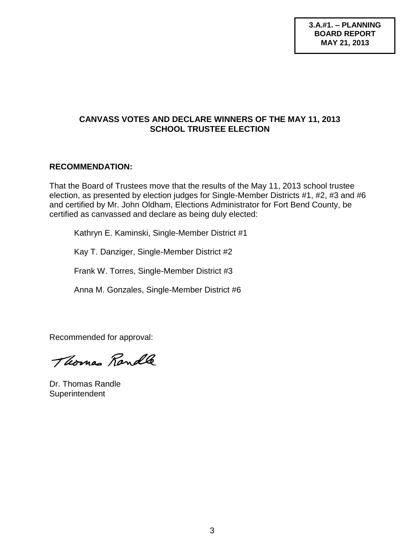#### **CANVASS VOTES AND DECLARE WINNERS OF THE MAY 11, 2013 SCHOOL TRUSTEE ELECTION**

#### **RECOMMENDATION:**

That the Board of Trustees move that the results of the May 11, 2013 school trustee election, as presented by election judges for Single-Member Districts #1, #2, #3 and #6 and certified by Mr. John Oldham, Elections Administrator for Fort Bend County, be certified as canvassed and declare as being duly elected:

Kathryn E. Kaminski, Single-Member District #1

Kay T. Danziger, Single-Member District #2

Frank W. Torres, Single-Member District #3

Anna M. Gonzales, Single-Member District #6

Recommended for approval:

Thomas Randle

Dr. Thomas Randle **Superintendent**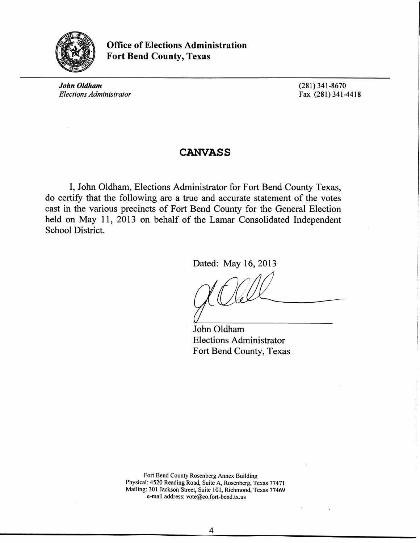

Office of Elections Administration Fort Bend County, Texas

*John Oldham Elections Administrator*  (281) 341-8670 Fax (281) 341-4418

#### **CANVASS**

I, John Oldham, Elections Administrator for Fort Bend County Texas, do certify that the following are a true and accurate statement of the votes cast in the various precincts of Fort Bend County for the General Election held on May 11, 2013 on behalf of the Lamar Consolidated Independent School District.

Dated: May 16, 2013

John Oldham Elections Administrator Fort Bend County, Texas

Fort Bend County Rosenberg Annex Building Physical: 4520 Reading Road, Suite A, Rosenberg, Texas 77471 Mailing: 301 Jackson Street, Suite 101, Richmond, Texas 77469 e-mail address: vote@co.fort-bend.tx.us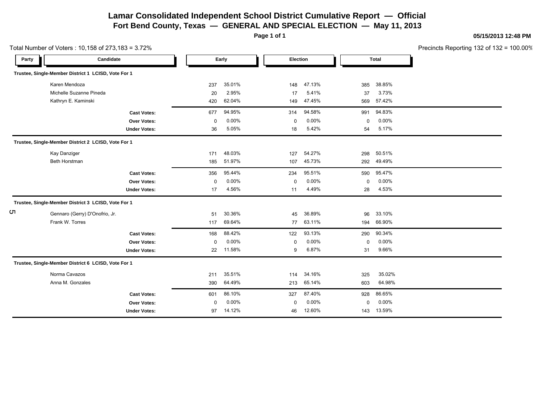#### **Lamar Consolidated Independent School District Cumulative Report — Official Fort Bend County, Texas — GENERAL AND SPECIAL ELECTION — May 11, 2013**

**Page 1 of 1**

| Precincts Reporting 132 of 132 = $100.00\%$ |
|---------------------------------------------|
|---------------------------------------------|

|       | Total Number of Voters: 10,158 of 273,183 = 3.72%   |                     |             |        |             |          |             |              | Precincts Reporting 132 of 132 |
|-------|-----------------------------------------------------|---------------------|-------------|--------|-------------|----------|-------------|--------------|--------------------------------|
| Party | Candidate                                           |                     |             | Early  | Election    |          |             | <b>Total</b> |                                |
|       | Trustee, Single-Member District 1 LCISD, Vote For 1 |                     |             |        |             |          |             |              |                                |
|       | Karen Mendoza                                       |                     | 237         | 35.01% | 148         | 47.13%   | 385         | 38.85%       |                                |
|       | Michelle Suzanne Pineda                             |                     | 20          | 2.95%  | 17          | 5.41%    | 37          | 3.73%        |                                |
|       | Kathryn E. Kaminski                                 |                     | 420         | 62.04% | 149         | 47.45%   | 569         | 57.42%       |                                |
|       |                                                     | <b>Cast Votes:</b>  | 677         | 94.95% | 314         | 94.58%   | 991         | 94.83%       |                                |
|       |                                                     | Over Votes:         | 0           | 0.00%  | $\mathbf 0$ | $0.00\%$ | 0           | 0.00%        |                                |
|       |                                                     | <b>Under Votes:</b> | 36          | 5.05%  | 18          | 5.42%    | 54          | 5.17%        |                                |
|       | Trustee, Single-Member District 2 LCISD, Vote For 1 |                     |             |        |             |          |             |              |                                |
|       | Kay Danziger                                        |                     | 171         | 48.03% | 127         | 54.27%   | 298         | 50.51%       |                                |
|       | Beth Horstman                                       |                     | 185         | 51.97% | 107         | 45.73%   | 292         | 49.49%       |                                |
|       |                                                     | <b>Cast Votes:</b>  | 356         | 95.44% | 234         | 95.51%   | 590         | 95.47%       |                                |
|       |                                                     | Over Votes:         | $\mathbf 0$ | 0.00%  | $\mathbf 0$ | 0.00%    | $\mathbf 0$ | 0.00%        |                                |
|       |                                                     | <b>Under Votes:</b> | 17          | 4.56%  | 11          | 4.49%    | 28          | 4.53%        |                                |
|       | Trustee, Single-Member District 3 LCISD, Vote For 1 |                     |             |        |             |          |             |              |                                |
| С'n   | Gennaro (Gerry) D'Onofrio, Jr.                      |                     | 51          | 30.36% | 45          | 36.89%   | 96          | 33.10%       |                                |
|       | Frank W. Torres                                     |                     | 117         | 69.64% | 77          | 63.11%   | 194         | 66.90%       |                                |
|       |                                                     | <b>Cast Votes:</b>  | 168         | 88.42% | 122         | 93.13%   | 290         | 90.34%       |                                |
|       |                                                     | Over Votes:         | 0           | 0.00%  | 0           | 0.00%    | 0           | 0.00%        |                                |
|       |                                                     | <b>Under Votes:</b> | 22          | 11.58% | 9           | 6.87%    | 31          | 9.66%        |                                |
|       | Trustee, Single-Member District 6 LCISD, Vote For 1 |                     |             |        |             |          |             |              |                                |
|       | Norma Cavazos                                       |                     | 211         | 35.51% | 114         | 34.16%   | 325         | 35.02%       |                                |
|       | Anna M. Gonzales                                    |                     | 390         | 64.49% | 213         | 65.14%   | 603         | 64.98%       |                                |
|       |                                                     | <b>Cast Votes:</b>  | 601         | 86.10% | 327         | 87.40%   | 928         | 86.65%       |                                |
|       |                                                     | Over Votes:         | $\mathbf 0$ | 0.00%  | $\mathbf 0$ | 0.00%    | $\mathbf 0$ | 0.00%        |                                |
|       |                                                     | <b>Under Votes:</b> | 97          | 14.12% | 46          | 12.60%   | 143         | 13.59%       |                                |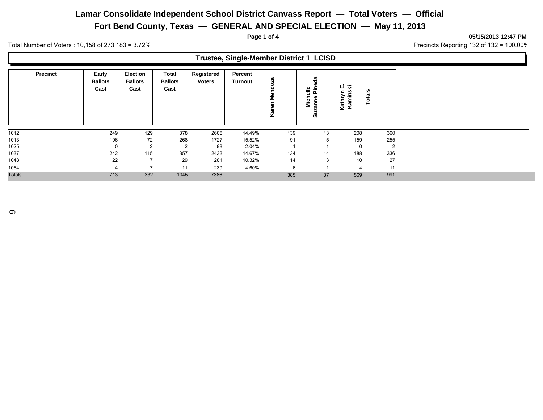**Fort Bend County, Texas — GENERAL AND SPECIAL ELECTION — May 11, 2013**

**Page 1 of 4 05/15/2013 12:47 PM**

Total Number of Voters : 10,158 of 273,183 = 3.72% 2010 37 and 32 of 132 = 100.00%

| Trustee, Single-Member District 1 LCISD |                                 |                                    |                                 |                             |                           |                       |                         |                             |                |  |  |  |
|-----------------------------------------|---------------------------------|------------------------------------|---------------------------------|-----------------------------|---------------------------|-----------------------|-------------------------|-----------------------------|----------------|--|--|--|
| <b>Precinct</b>                         | Early<br><b>Ballots</b><br>Cast | Election<br><b>Ballots</b><br>Cast | Total<br><b>Ballots</b><br>Cast | Registered<br><b>Voters</b> | Percent<br><b>Turnout</b> | oza<br>ᅮ<br>ż<br>ত্রু | 용<br>≗<br>Σ<br>ត្ត<br>Ō | 卫<br>ш<br>Kathryn<br>Kamins | Totals         |  |  |  |
| 1012                                    | 249                             | 129                                | 378                             | 2608                        | 14.49%                    | 139                   | 13                      | 208                         | 360            |  |  |  |
| 1013                                    | 196                             | 72                                 | 268                             | 1727                        | 15.52%                    | 91                    | 5                       | 159                         | 255            |  |  |  |
| 1025                                    |                                 | $\overline{2}$                     | $\overline{2}$                  | 98                          | 2.04%                     |                       |                         | 0                           | $\overline{2}$ |  |  |  |
| 1037                                    | 242                             | 115                                | 357                             | 2433                        | 14.67%                    | 134                   | 14                      | 188                         | 336            |  |  |  |
| 1048                                    | 22                              |                                    | 29                              | 281                         | 10.32%                    | 14                    | 3                       | 10                          | 27             |  |  |  |
| 1054                                    |                                 |                                    | 11                              | 239                         | 4.60%                     | 6                     |                         | 4                           | 11             |  |  |  |
| <b>Totals</b>                           | 713                             | 332                                | 1045                            | 7386                        |                           | 385                   | 37                      | 569                         | 991            |  |  |  |

 $\sigma$ 

 $\Box$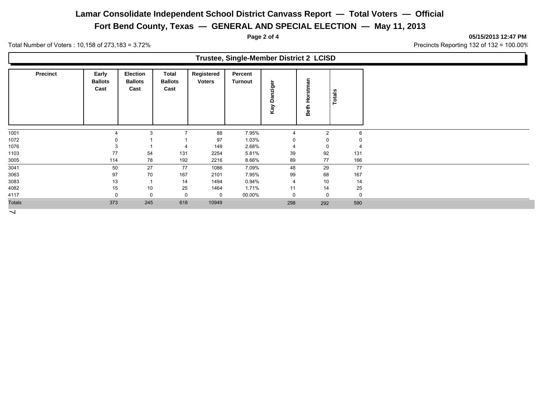**Fort Bend County, Texas — GENERAL AND SPECIAL ELECTION — May 11, 2013**

**Page 2 of 4 05/15/2013 12:47 PM**

T.

Total Number of Voters : 10,158 of 273,183 = 3.72% 2010 37 and 32 of 132 = 100.00%

| Trustee, Single-Member District 2 LCISD |                                 |                                           |                                 |                             |                           |                 |                  |               |  |  |  |
|-----------------------------------------|---------------------------------|-------------------------------------------|---------------------------------|-----------------------------|---------------------------|-----------------|------------------|---------------|--|--|--|
| <b>Precinct</b>                         | Early<br><b>Ballots</b><br>Cast | <b>Election</b><br><b>Ballots</b><br>Cast | Total<br><b>Ballots</b><br>Cast | Registered<br><b>Voters</b> | Percent<br><b>Turnout</b> | ger<br>n<br>Kay | Horstman<br>Beth | <b>Totals</b> |  |  |  |
| 1001                                    |                                 | 3                                         | 7                               | 88                          | 7.95%                     | 4               | $\overline{2}$   | 6             |  |  |  |
| 1072                                    |                                 |                                           |                                 | 97                          | 1.03%                     |                 |                  |               |  |  |  |
| 1076                                    |                                 |                                           | 4                               | 149                         | 2.68%                     |                 | 0                |               |  |  |  |
| 1103                                    | 77                              | 54                                        | 131                             | 2254                        | 5.81%                     | 39              | 92               | 131           |  |  |  |
| 3005                                    | 114                             | 78                                        | 192                             | 2216                        | 8.66%                     | 89              | 77               | 166           |  |  |  |
| 3041                                    | 50                              | 27                                        | 77                              | 1086                        | 7.09%                     | 48              | 29               | 77            |  |  |  |
| 3063                                    | 97                              | 70                                        | 167                             | 2101                        | 7.95%                     | 99              | 68               | 167           |  |  |  |
| 3083                                    | 13                              |                                           | 14                              | 1494                        | 0.94%                     | $\overline{4}$  | 10               | 14            |  |  |  |
| 4082                                    | 15                              | 10                                        | 25                              | 1464                        | 1.71%                     | 11              | 14               | 25            |  |  |  |
| 4117                                    |                                 | 0                                         | $\Omega$                        | 0                           | 00.00%                    | 0               | 0                | 0             |  |  |  |
| <b>Totals</b>                           | 373                             | 245                                       | 618                             | 10949                       |                           | 298             | 292              | 590           |  |  |  |

 $\overline{\phantom{a}}$ 

 $\Gamma$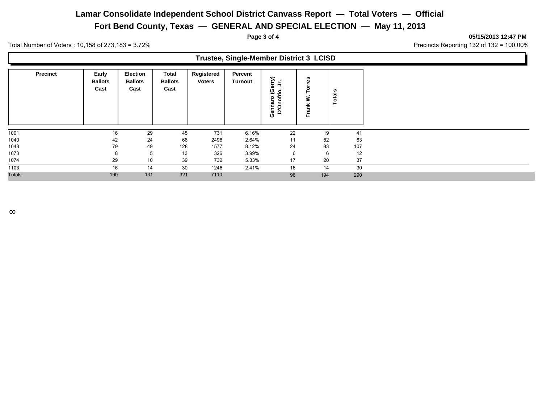**Fort Bend County, Texas — GENERAL AND SPECIAL ELECTION — May 11, 2013**

**Page 3 of 4 05/15/2013 12:47 PM**

Total Number of Voters : 10,158 of 273,183 = 3.72% 2010 37 and 32 of 132 = 100.00%

| Trustee, Single-Member District 3 LCISD |                                 |                                           |                                 |                             |                           |                                         |     |        |  |  |  |
|-----------------------------------------|---------------------------------|-------------------------------------------|---------------------------------|-----------------------------|---------------------------|-----------------------------------------|-----|--------|--|--|--|
| <b>Precinct</b>                         | Early<br><b>Ballots</b><br>Cast | <b>Election</b><br><b>Ballots</b><br>Cast | Total<br><b>Ballots</b><br>Cast | Registered<br><b>Voters</b> | Percent<br><b>Turnout</b> | ∍<br>৯<br>ဖွံ နှံ<br>Gennaro<br>D'Onofr | Fra | Totals |  |  |  |
| 1001                                    | 16                              | 29                                        | 45                              | 731                         | 6.16%                     | 22                                      | 19  | 41     |  |  |  |
| 1040                                    | 42                              | 24                                        | 66                              | 2498                        | 2.64%                     | 11                                      | 52  | 63     |  |  |  |
| 1048                                    | 79                              | 49                                        | 128                             | 1577                        | 8.12%                     | 24                                      | 83  | 107    |  |  |  |
| 1073                                    |                                 | 5                                         | 13                              | 326                         | 3.99%                     |                                         | -6  | 12     |  |  |  |
| 1074                                    | 29                              | 10                                        | 39                              | 732                         | 5.33%                     | 17                                      | 20  | 37     |  |  |  |
| 1103                                    | 16                              | 14                                        | 30                              | 1246                        | 2.41%                     | 16                                      | 14  | 30     |  |  |  |
| <b>Totals</b>                           | 190                             | 131                                       | 321                             | 7110                        |                           | 96                                      | 194 | 290    |  |  |  |

 $\infty$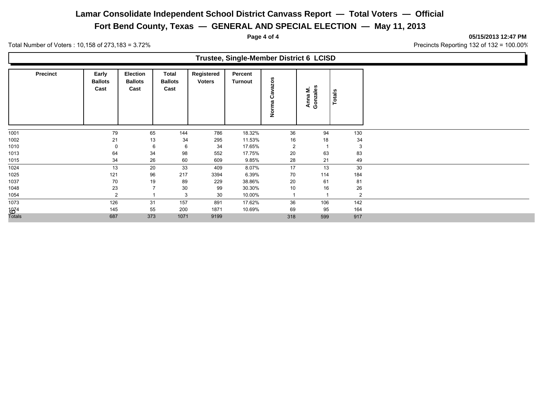**Fort Bend County, Texas — GENERAL AND SPECIAL ELECTION — May 11, 2013**

**Page 4 of 4 05/15/2013 12:47 PM**

Total Number of Voters : 10,158 of 273,183 = 3.72% 2010 37 and 32 of 132 = 100.00%

|        | Trustee, Single-Member District 6 LCISD |                                 |                                    |                                        |                             |                    |                     |                     |               |     |  |  |  |
|--------|-----------------------------------------|---------------------------------|------------------------------------|----------------------------------------|-----------------------------|--------------------|---------------------|---------------------|---------------|-----|--|--|--|
|        | <b>Precinct</b>                         | Early<br><b>Ballots</b><br>Cast | Election<br><b>Ballots</b><br>Cast | <b>Total</b><br><b>Ballots</b><br>Cast | Registered<br><b>Voters</b> | Percent<br>Turnout | razos<br>ن<br>Norma | Anna M.<br>Gonzales | <b>Totals</b> |     |  |  |  |
| 1001   |                                         | 79                              | 65                                 | 144                                    | 786                         | 18.32%             | 36                  | 94                  |               | 130 |  |  |  |
| 1002   |                                         | 21                              | 13                                 | 34                                     | 295                         | 11.53%             | 16                  | 18                  |               | 34  |  |  |  |
| 1010   |                                         | 0                               | 6                                  | 6                                      | 34                          | 17.65%             | 2                   |                     |               | 3   |  |  |  |
| 1013   |                                         | 64                              | 34                                 | 98                                     | 552                         | 17.75%             | 20                  | 63                  |               | 83  |  |  |  |
| 1015   |                                         | 34                              | 26                                 | 60                                     | 609                         | 9.85%              | 28                  | 21                  |               | 49  |  |  |  |
| 1024   |                                         | 13                              | 20                                 | 33                                     | 409                         | 8.07%              | 17                  | 13                  |               | 30  |  |  |  |
| 1025   |                                         | 121                             | 96                                 | 217                                    | 3394                        | 6.39%              | 70                  | 114                 |               | 184 |  |  |  |
| 1037   |                                         | 70                              | 19                                 | 89                                     | 229                         | 38.86%             | 20                  | 61                  |               | 81  |  |  |  |
| 1048   |                                         | 23                              |                                    | 30                                     | 99                          | 30.30%             | 10                  | 16                  |               | 26  |  |  |  |
| 1054   |                                         | 2                               |                                    | 3                                      | 30                          | 10.00%             |                     |                     |               | 2   |  |  |  |
| 1073   |                                         | 126                             | 31                                 | 157                                    | 891                         | 17.62%             | 36                  | 106                 |               | 142 |  |  |  |
| 1834   |                                         | 145                             | 55                                 | 200                                    | 1871                        | 10.69%             | 69                  | 95                  |               | 164 |  |  |  |
| Totals |                                         | 687                             | 373                                | 1071                                   | 9199                        |                    | 318                 | 599                 |               | 917 |  |  |  |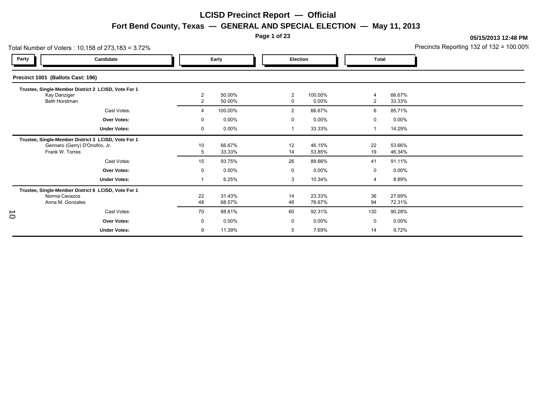**Page 1 of 23**

|           | Total Number of Voters: 10,158 of 273,183 = 3.72%                                                        |                                  |                  |                               |                  |                         |                  | Precincts Reporting 132 of 132 = 100.00% |
|-----------|----------------------------------------------------------------------------------------------------------|----------------------------------|------------------|-------------------------------|------------------|-------------------------|------------------|------------------------------------------|
| Party     | Candidate                                                                                                |                                  | Early            |                               | Election         | Total                   |                  |                                          |
|           | Precinct 1001 (Ballots Cast: 196)                                                                        |                                  |                  |                               |                  |                         |                  |                                          |
|           | Trustee, Single-Member District 2 LCISD, Vote For 1<br>Kay Danziger<br>Beth Horstman                     | $\overline{2}$<br>$\overline{2}$ | 50.00%<br>50.00% | $\overline{2}$<br>$\mathbf 0$ | 100.00%<br>0.00% | 4<br>2                  | 66.67%<br>33.33% |                                          |
|           | Cast Votes:                                                                                              | 4                                | 100.00%          | $\overline{2}$                | 66.67%           | 6                       | 85.71%           |                                          |
|           | <b>Over Votes:</b>                                                                                       | $\mathbf 0$                      | 0.00%            | $\mathbf 0$                   | 0.00%            | $\mathbf 0$             | $0.00\%$         |                                          |
|           | <b>Under Votes:</b>                                                                                      | 0                                | 0.00%            |                               | 33.33%           | $\overline{\mathbf{1}}$ | 14.29%           |                                          |
|           | Trustee, Single-Member District 3 LCISD, Vote For 1<br>Gennaro (Gerry) D'Onofrio, Jr.<br>Frank W. Torres | 10<br>5                          | 66.67%<br>33.33% | 12<br>14                      | 46.15%<br>53.85% | 22<br>19                | 53.66%<br>46.34% |                                          |
|           | Cast Votes:                                                                                              | 15                               | 93.75%           | 26                            | 89.66%           | 41                      | 91.11%           |                                          |
|           | Over Votes:                                                                                              | 0                                | 0.00%            | 0                             | 0.00%            | 0                       | $0.00\%$         |                                          |
|           | <b>Under Votes:</b>                                                                                      |                                  | 6.25%            | 3                             | 10.34%           | 4                       | 8.89%            |                                          |
|           | Trustee, Single-Member District 6 LCISD, Vote For 1<br>Norma Cavazos<br>Anna M. Gonzales                 | 22<br>48                         | 31.43%<br>68.57% | 14<br>46                      | 23.33%<br>76.67% | 36<br>94                | 27.69%<br>72.31% |                                          |
|           | Cast Votes:                                                                                              | 70                               | 88.61%           | 60                            | 92.31%           | 130                     | 90.28%           |                                          |
| $\vec{o}$ | <b>Over Votes:</b>                                                                                       | 0                                | 0.00%            | 0                             | 0.00%            | 0                       | $0.00\%$         |                                          |
|           | <b>Under Votes:</b>                                                                                      | 9                                | 11.39%           | 5                             | 7.69%            | 14                      | 9.72%            |                                          |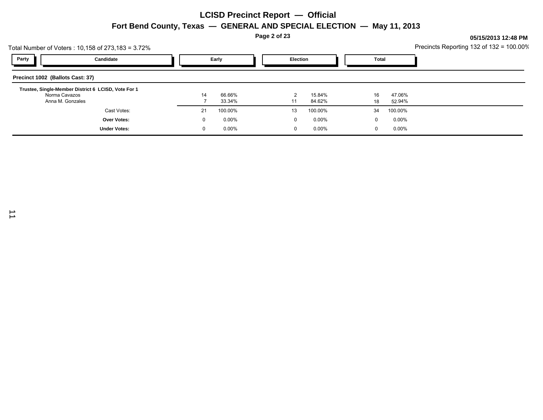|                                  |                                                     | Page 2 of 23 |          |  |  |          |          |  |                                          |          | 05/15/2013 12:48 PM |  |  |
|----------------------------------|-----------------------------------------------------|--------------|----------|--|--|----------|----------|--|------------------------------------------|----------|---------------------|--|--|
|                                  | Total Number of Voters: 10,158 of 273,183 = 3.72%   |              |          |  |  |          |          |  | Precincts Reporting 132 of 132 = 100.00% |          |                     |  |  |
| Party                            | Candidate                                           | Early        |          |  |  | Election |          |  | Total                                    |          |                     |  |  |
| Precinct 1002 (Ballots Cast: 37) |                                                     |              |          |  |  |          |          |  |                                          |          |                     |  |  |
| Norma Cavazos                    | Trustee, Single-Member District 6 LCISD, Vote For 1 | 14           | 66.66%   |  |  | 2        | 15.84%   |  | 16                                       | 47.06%   |                     |  |  |
| Anna M. Gonzales                 |                                                     |              | 33.34%   |  |  | 11       | 84.62%   |  | 18                                       | 52.94%   |                     |  |  |
|                                  | Cast Votes:                                         | 21           | 100.00%  |  |  | 13       | 100.00%  |  | 34                                       | 100.00%  |                     |  |  |
|                                  | Over Votes:                                         | 0            | $0.00\%$ |  |  |          | $0.00\%$ |  | 0                                        | $0.00\%$ |                     |  |  |
|                                  | <b>Under Votes:</b>                                 | 0            | $0.00\%$ |  |  |          | $0.00\%$ |  | 0                                        | $0.00\%$ |                     |  |  |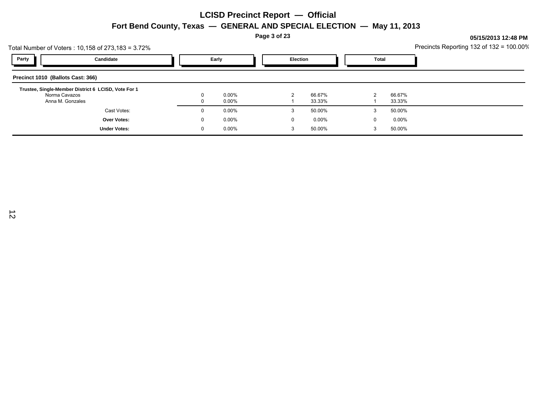**Page 3 of 23**

|                                   | Total Number of Voters : 10,158 of 273,183 = 3.72%  |          |                |  |               |                  |   | $\frac{1}{2}$<br>Precincts Reporting 132 of 132 = 100.00% |  |
|-----------------------------------|-----------------------------------------------------|----------|----------------|--|---------------|------------------|---|-----------------------------------------------------------|--|
| Party                             | Candidate                                           |          | Early          |  |               | <b>Election</b>  |   | Total                                                     |  |
| Precinct 1010 (Ballots Cast: 366) |                                                     |          |                |  |               |                  |   |                                                           |  |
|                                   | Trustee, Single-Member District 6 LCISD, Vote For 1 |          |                |  |               |                  |   |                                                           |  |
| Norma Cavazos                     | Anna M. Gonzales                                    |          | 0.00%<br>0.00% |  | $\mathcal{P}$ | 66.67%<br>33.33% | 2 | 66.67%<br>33.33%                                          |  |
|                                   | Cast Votes:                                         |          | $0.00\%$       |  | 3             | 50.00%           | 3 | 50.00%                                                    |  |
|                                   | <b>Over Votes:</b>                                  | $\Omega$ | $0.00\%$       |  | $\Omega$      | $0.00\%$         | υ | $0.00\%$                                                  |  |
|                                   | <b>Under Votes:</b>                                 |          | $0.00\%$       |  | 3             | 50.00%           | 3 | 50.00%                                                    |  |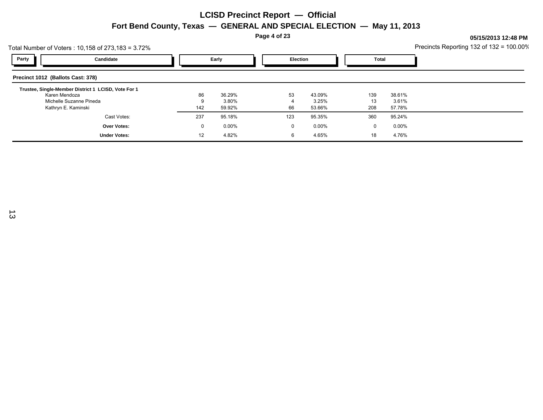**Page 4 of 23**

| Total Number of Voters : 10,158 of 273,183 = 3.72%  |              |          |     |                 |     |          | Precincts Reporting 132 of 132 = 100.00% |
|-----------------------------------------------------|--------------|----------|-----|-----------------|-----|----------|------------------------------------------|
| Party<br>Candidate                                  | Early        |          |     | <b>Election</b> |     | Total    |                                          |
| Precinct 1012 (Ballots Cast: 378)                   |              |          |     |                 |     |          |                                          |
| Trustee, Single-Member District 1 LCISD, Vote For 1 |              |          |     |                 |     |          |                                          |
| Karen Mendoza                                       | 86           | 36.29%   | 53  | 43.09%          | 139 | 38.61%   |                                          |
| Michelle Suzanne Pineda                             |              | 3.80%    |     | 3.25%           | 13  | 3.61%    |                                          |
| Kathryn E. Kaminski                                 | 142          | 59.92%   | 66  | 53.66%          | 208 | 57.78%   |                                          |
| Cast Votes:                                         | 237          | 95.18%   | 123 | 95.35%          | 360 | 95.24%   |                                          |
| Over Votes:                                         | $\mathbf{0}$ | $0.00\%$ | 0   | $0.00\%$        | 0   | $0.00\%$ |                                          |
| <b>Under Votes:</b>                                 | 12           | 4.82%    | 6   | 4.65%           | 18  | 4.76%    |                                          |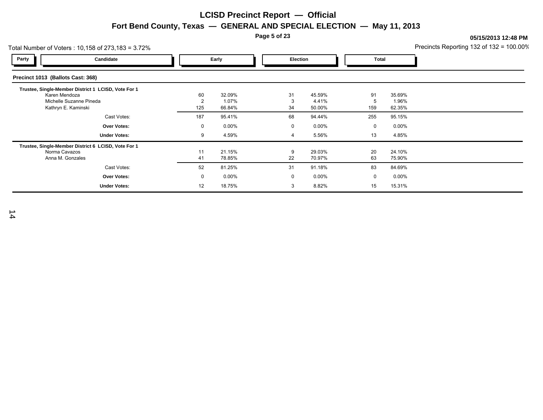**Page 5 of 23**

**05/15/2013 12:48 PM**

|                                   | Total Number of Voters: 10,158 of 273,183 = 3.72%                                                                      |                             |                           |  |                 |                           | Precincts Reporting 132 of 132 = 100.00% |                           |  |
|-----------------------------------|------------------------------------------------------------------------------------------------------------------------|-----------------------------|---------------------------|--|-----------------|---------------------------|------------------------------------------|---------------------------|--|
| Party                             | Candidate                                                                                                              |                             | Early                     |  | <b>Election</b> | <b>Total</b>              |                                          |                           |  |
| Precinct 1013 (Ballots Cast: 368) |                                                                                                                        |                             |                           |  |                 |                           |                                          |                           |  |
|                                   | Trustee, Single-Member District 1 LCISD, Vote For 1<br>Karen Mendoza<br>Michelle Suzanne Pineda<br>Kathryn E. Kaminski | 60<br>$\overline{2}$<br>125 | 32.09%<br>1.07%<br>66.84% |  | 31<br>3<br>34   | 45.59%<br>4.41%<br>50.00% | 91<br>5<br>159                           | 35.69%<br>1.96%<br>62.35% |  |
|                                   | Cast Votes:                                                                                                            | 187                         | 95.41%                    |  | 68              | 94.44%                    | 255                                      | 95.15%                    |  |
|                                   | Over Votes:                                                                                                            | $\mathbf{0}$                | $0.00\%$                  |  | $\mathbf 0$     | $0.00\%$                  | 0                                        | $0.00\%$                  |  |
|                                   | <b>Under Votes:</b>                                                                                                    | 9                           | 4.59%                     |  | $\overline{4}$  | 5.56%                     | 13                                       | 4.85%                     |  |
|                                   | Trustee, Single-Member District 6 LCISD, Vote For 1<br>Norma Cavazos<br>Anna M. Gonzales                               | 11<br>41                    | 21.15%<br>78.85%          |  | 9<br>22         | 29.03%<br>70.97%          | 20<br>63                                 | 24.10%<br>75.90%          |  |
|                                   | Cast Votes:                                                                                                            | 52                          | 81.25%                    |  | 31              | 91.18%                    | 83                                       | 84.69%                    |  |
|                                   | Over Votes:                                                                                                            | $\mathbf 0$                 | $0.00\%$                  |  | 0               | $0.00\%$                  | 0                                        | $0.00\%$                  |  |
|                                   | <b>Under Votes:</b>                                                                                                    | 12                          | 18.75%                    |  | 3               | 8.82%                     | 15                                       | 15.31%                    |  |

14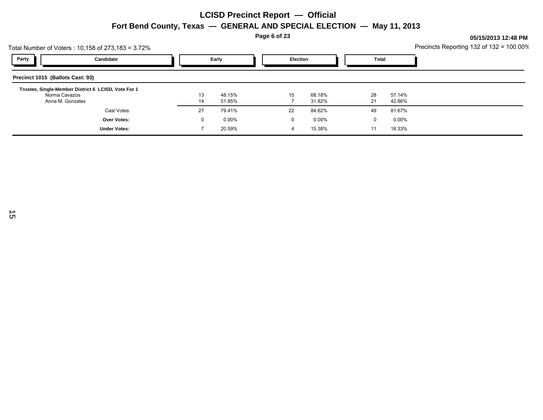**Page 6 of 23**

|                                  | Total Number of Voters : 10,158 of 273,183 = 3.72%  |    |          |  |                 |          |    |               | Precincts Reporting 132 of 132 = 100.00% |
|----------------------------------|-----------------------------------------------------|----|----------|--|-----------------|----------|----|---------------|------------------------------------------|
| Party                            | Candidate                                           |    | Early    |  | <b>Election</b> |          |    | Total         |                                          |
| Precinct 1015 (Ballots Cast: 93) |                                                     |    |          |  |                 |          |    |               |                                          |
| Norma Cavazos                    | Trustee, Single-Member District 6 LCISD, Vote For 1 | 13 | 48.15%   |  | 15              | 68.18%   | 28 | 57.14%        |                                          |
|                                  | Anna M. Gonzales                                    | 14 | 51.85%   |  |                 | 31.82%   | 21 | 42.86%        |                                          |
|                                  | Cast Votes:                                         | 27 | 79.41%   |  | 22              | 84.62%   | 49 | 81.67%        |                                          |
|                                  | Over Votes:                                         | 0  | $0.00\%$ |  | 0               | $0.00\%$ |    | $0.00\%$<br>0 |                                          |
|                                  | <b>Under Votes:</b>                                 |    | 20.59%   |  | 4               | 15.38%   | 11 | 18.33%        |                                          |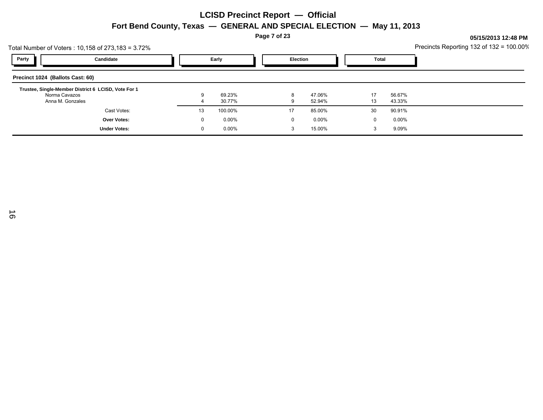**Page 7 of 23**

| Total Number of Voters : 10,158 of 273,183 = 3.72%                   |              |          |  |                 |          |    |          | Precincts Reporting 132 of $132 = 100.00\%$ |
|----------------------------------------------------------------------|--------------|----------|--|-----------------|----------|----|----------|---------------------------------------------|
| Party<br>Candidate                                                   | Early        |          |  | <b>Election</b> |          |    | Total    |                                             |
| Precinct 1024 (Ballots Cast: 60)                                     |              |          |  |                 |          |    |          |                                             |
| Trustee, Single-Member District 6 LCISD, Vote For 1<br>Norma Cavazos | 9            | 69.23%   |  | 8               | 47.06%   | 17 | 56.67%   |                                             |
| Anna M. Gonzales                                                     |              | 30.77%   |  | 9               | 52.94%   | 13 | 43.33%   |                                             |
| Cast Votes:                                                          | 13           | 100.00%  |  | 17              | 85.00%   | 30 | 90.91%   |                                             |
| <b>Over Votes:</b>                                                   | $\mathbf{0}$ | $0.00\%$ |  | 0               | $0.00\%$ | 0  | $0.00\%$ |                                             |
| <b>Under Votes:</b>                                                  | $\Omega$     | $0.00\%$ |  | 3               | 15.00%   | 3  | 9.09%    |                                             |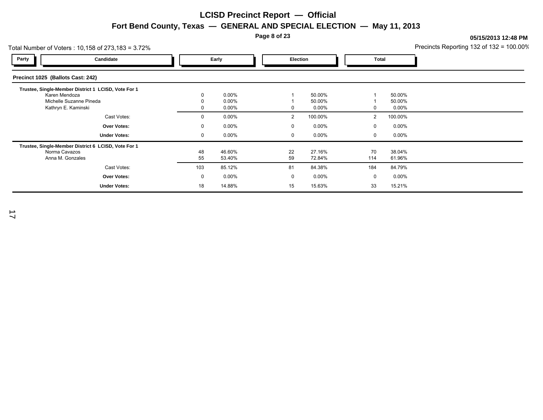**Page 8 of 23**

|                                   | Total Number of Voters: $10,158$ of 273,183 = 3.72%                                                                    |          |                                  |  |                     |                           |                               |                           | Precincts Reporting 132 of 132 = 100.00% |
|-----------------------------------|------------------------------------------------------------------------------------------------------------------------|----------|----------------------------------|--|---------------------|---------------------------|-------------------------------|---------------------------|------------------------------------------|
| Party                             | Candidate                                                                                                              |          | Early                            |  | <b>Election</b>     |                           | Total                         |                           |                                          |
| Precinct 1025 (Ballots Cast: 242) |                                                                                                                        |          |                                  |  |                     |                           |                               |                           |                                          |
|                                   | Trustee, Single-Member District 1 LCISD, Vote For 1<br>Karen Mendoza<br>Michelle Suzanne Pineda<br>Kathryn E. Kaminski |          | $0.00\%$<br>$0.00\%$<br>$0.00\%$ |  |                     | 50.00%<br>50.00%<br>0.00% | 0                             | 50.00%<br>50.00%<br>0.00% |                                          |
|                                   | Cast Votes:<br>Over Votes:                                                                                             | 0<br>0   | $0.00\%$<br>$0.00\%$             |  | $\overline{2}$<br>0 | 100.00%<br>0.00%          | $\overline{2}$<br>$\mathbf 0$ | 100.00%<br>$0.00\%$       |                                          |
|                                   | <b>Under Votes:</b>                                                                                                    | 0        | $0.00\%$                         |  | 0                   | 0.00%                     | 0                             | $0.00\%$                  |                                          |
|                                   | Trustee, Single-Member District 6 LCISD, Vote For 1<br>Norma Cavazos<br>Anna M. Gonzales                               | 48<br>55 | 46.60%<br>53.40%                 |  | 22<br>59            | 27.16%<br>72.84%          | 70<br>114                     | 38.04%<br>61.96%          |                                          |
|                                   | Cast Votes:                                                                                                            | 103      | 85.12%                           |  | 81                  | 84.38%                    | 184                           | 84.79%                    |                                          |
|                                   | Over Votes:                                                                                                            | 0        | 0.00%                            |  | $\Omega$            | 0.00%                     | $\mathbf 0$                   | $0.00\%$                  |                                          |
|                                   | <b>Under Votes:</b>                                                                                                    | 18       | 14.88%                           |  | 15                  | 15.63%                    | 33                            | 15.21%                    |                                          |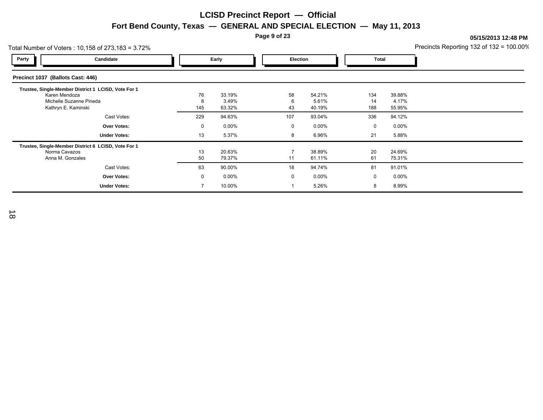**Page 9 of 23**

|                                   | Total Number of Voters : 10,158 of 273,183 = 3.72%                                                    |                |                           |                      |                           |                  |                           | Precincts Reporting 132 of 132 = 100.00% |
|-----------------------------------|-------------------------------------------------------------------------------------------------------|----------------|---------------------------|----------------------|---------------------------|------------------|---------------------------|------------------------------------------|
| Party                             | Candidate                                                                                             |                | Early                     | <b>Election</b>      |                           | Total            |                           |                                          |
| Precinct 1037 (Ballots Cast: 446) |                                                                                                       |                |                           |                      |                           |                  |                           |                                          |
| Karen Mendoza                     | Trustee, Single-Member District 1 LCISD, Vote For 1<br>Michelle Suzanne Pineda<br>Kathryn E. Kaminski | 76<br>8<br>145 | 33.19%<br>3.49%<br>63.32% | 58<br>6<br>43        | 54.21%<br>5.61%<br>40.19% | 134<br>14<br>188 | 39.88%<br>4.17%<br>55.95% |                                          |
|                                   | Cast Votes:                                                                                           | 229            | 94.63%                    | 107                  | 93.04%                    | 336              | 94.12%                    |                                          |
|                                   | Over Votes:                                                                                           | $\mathbf{0}$   | $0.00\%$                  | $\mathbf 0$          | $0.00\%$                  | $\mathbf 0$      | $0.00\%$                  |                                          |
|                                   | <b>Under Votes:</b>                                                                                   | 13             | 5.37%                     | 8                    | 6.96%                     | 21               | 5.88%                     |                                          |
| Norma Cavazos                     | Trustee, Single-Member District 6 LCISD, Vote For 1<br>Anna M. Gonzales                               | 13<br>50       | 20.63%<br>79.37%          | $\overline{7}$<br>11 | 38.89%<br>61.11%          | 20<br>61         | 24.69%<br>75.31%          |                                          |
|                                   | Cast Votes:                                                                                           | 63             | 90.00%                    | 18                   | 94.74%                    | 81               | 91.01%                    |                                          |
|                                   | Over Votes:                                                                                           | $\mathbf 0$    | $0.00\%$                  | $\mathbf 0$          | $0.00\%$                  | 0                | $0.00\%$                  |                                          |
|                                   | <b>Under Votes:</b>                                                                                   |                | 10.00%                    |                      | 5.26%                     | 8                | 8.99%                     |                                          |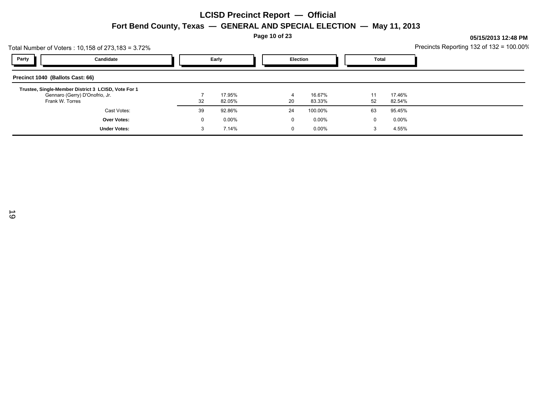**Page 10 of 23**

|                                  | Total Number of Voters : 10,158 of 273,183 = 3.72%                                    |              |          |  |                |                 |  |    |          | Precincts Reporting 132 of 132 = 100.00% |
|----------------------------------|---------------------------------------------------------------------------------------|--------------|----------|--|----------------|-----------------|--|----|----------|------------------------------------------|
| Party                            | Candidate                                                                             |              | Early    |  |                | <b>Election</b> |  |    | Total    |                                          |
| Precinct 1040 (Ballots Cast: 66) |                                                                                       |              |          |  |                |                 |  |    |          |                                          |
|                                  | Trustee, Single-Member District 3 LCISD, Vote For 1<br>Gennaro (Gerry) D'Onofrio, Jr. |              | 17.95%   |  | $\overline{a}$ | 16.67%          |  | 11 | 17.46%   |                                          |
|                                  | Frank W. Torres                                                                       | 32           | 82.05%   |  | 20             | 83.33%          |  | 52 | 82.54%   |                                          |
|                                  | Cast Votes:                                                                           | 39           | 92.86%   |  | 24             | 100.00%         |  | 63 | 95.45%   |                                          |
|                                  | Over Votes:                                                                           | $\mathbf{0}$ | $0.00\%$ |  | 0              | $0.00\%$        |  | 0  | $0.00\%$ |                                          |
|                                  | <b>Under Votes:</b>                                                                   | 3            | 7.14%    |  | 0              | $0.00\%$        |  | 3  | 4.55%    |                                          |
|                                  |                                                                                       |              |          |  |                |                 |  |    |          |                                          |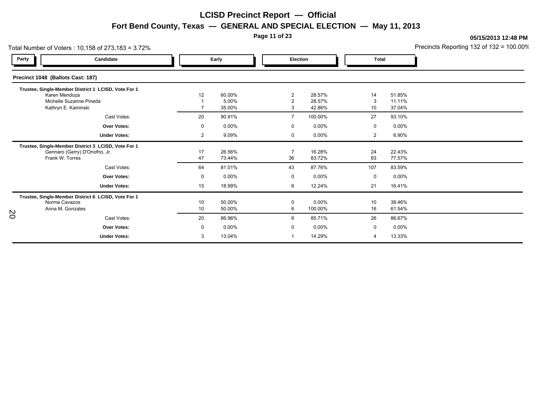**Page 11 of 23**

**05/15/2013 12:48 PM**

Precincts Reporting 132 of 132 = 100.00%

|       | Total Number of Voters: 10,158 of 273,183 = 3.72%                                                        |             |                  |                      |                     |              |                  | Precincts Reporting 132 of 132 = 100.00 |
|-------|----------------------------------------------------------------------------------------------------------|-------------|------------------|----------------------|---------------------|--------------|------------------|-----------------------------------------|
| Party | Candidate                                                                                                |             | Early            | Election             |                     | <b>Total</b> |                  |                                         |
|       | Precinct 1048 (Ballots Cast: 187)                                                                        |             |                  |                      |                     |              |                  |                                         |
|       | Trustee, Single-Member District 1 LCISD, Vote For 1<br>Karen Mendoza                                     | 12          | 60.00%           | $\overline{2}$       | 28.57%              | 14           | 51.85%           |                                         |
|       | Michelle Suzanne Pineda<br>Kathryn E. Kaminski                                                           |             | 5.00%<br>35.00%  | $\overline{2}$<br>3  | 28.57%<br>42.86%    | 3<br>10      | 11.11%<br>37.04% |                                         |
|       | Cast Votes:                                                                                              | 20          | 90.91%           | $\overline{7}$       | 100.00%             | 27           | 93.10%           |                                         |
|       | <b>Over Votes:</b>                                                                                       | $\mathbf 0$ | $0.00\%$         | 0                    | $0.00\%$            | 0            | $0.00\%$         |                                         |
|       | <b>Under Votes:</b>                                                                                      | 2           | 9.09%            | 0                    | $0.00\%$            | 2            | 6.90%            |                                         |
|       | Trustee, Single-Member District 3 LCISD, Vote For 1<br>Gennaro (Gerry) D'Onofrio, Jr.<br>Frank W. Torres | 17<br>47    | 26.56%<br>73.44% | $\overline{7}$<br>36 | 16.28%<br>83.72%    | 24<br>83     | 22.43%<br>77.57% |                                         |
|       | Cast Votes:                                                                                              | 64          | 81.01%           | 43                   | 87.76%              | 107          | 83.59%           |                                         |
|       | <b>Over Votes:</b>                                                                                       | 0           | $0.00\%$         | 0                    | $0.00\%$            | 0            | $0.00\%$         |                                         |
|       | <b>Under Votes:</b>                                                                                      | 15          | 18.99%           | 6                    | 12.24%              | 21           | 16.41%           |                                         |
|       | Trustee, Single-Member District 6 LCISD, Vote For 1<br>Norma Cavazos<br>Anna M. Gonzales                 | 10<br>10    | 50.00%<br>50.00% | $\mathbf 0$<br>6     | $0.00\%$<br>100.00% | 10<br>16     | 38.46%<br>61.54% |                                         |
| SO    | Cast Votes:                                                                                              | 20          | 86.96%           | 6                    | 85.71%              | 26           | 86.67%           |                                         |
|       | Over Votes:                                                                                              | 0           | $0.00\%$         | $\Omega$             | $0.00\%$            | 0            | $0.00\%$         |                                         |
|       | <b>Under Votes:</b>                                                                                      | 3           | 13.04%           |                      | 14.29%              | 4            | 13.33%           |                                         |
|       |                                                                                                          |             |                  |                      |                     |              |                  |                                         |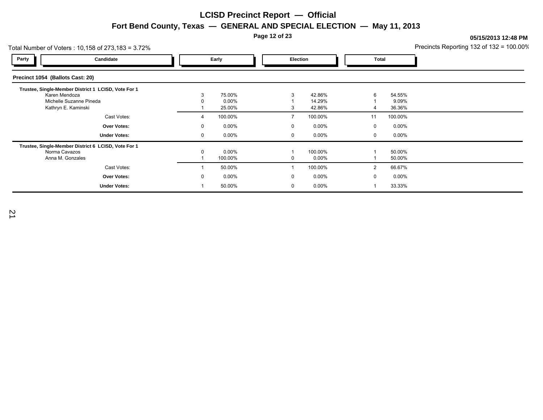**Page 12 of 23**

| Total Number of Voters: 10,158 of 273,183 = 3.72%                                                                      |               |                           |                   |                            |                   |                           | Precincts Reporting 132 of 132 = 100.00% |
|------------------------------------------------------------------------------------------------------------------------|---------------|---------------------------|-------------------|----------------------------|-------------------|---------------------------|------------------------------------------|
| Party<br>Candidate                                                                                                     |               | Early                     | <b>Election</b>   |                            | Total             |                           |                                          |
| Precinct 1054 (Ballots Cast: 20)                                                                                       |               |                           |                   |                            |                   |                           |                                          |
| Trustee, Single-Member District 1 LCISD, Vote For 1<br>Karen Mendoza<br>Michelle Suzanne Pineda<br>Kathryn E. Kaminski |               | 75.00%<br>0.00%<br>25.00% | 3                 | 42.86%<br>14.29%<br>42.86% | 6                 | 54.55%<br>9.09%<br>36.36% |                                          |
| Cast Votes:<br>Over Votes:                                                                                             | 4<br>$\Omega$ | 100.00%<br>$0.00\%$       | $\mathbf{0}$      | 100.00%<br>0.00%           | 11<br>$\mathbf 0$ | 100.00%<br>$0.00\%$       |                                          |
| <b>Under Votes:</b>                                                                                                    | 0             | $0.00\%$                  | 0                 | $0.00\%$                   | 0                 | $0.00\%$                  |                                          |
| Trustee, Single-Member District 6 LCISD, Vote For 1<br>Norma Cavazos<br>Anna M. Gonzales                               | $\Omega$      | $0.00\%$<br>100.00%       |                   | 100.00%<br>$0.00\%$        |                   | 50.00%<br>50.00%          |                                          |
| Cast Votes:                                                                                                            |               | 50.00%                    |                   | 100.00%                    | 2                 | 66.67%                    |                                          |
| Over Votes:<br><b>Under Votes:</b>                                                                                     | $\Omega$      | $0.00\%$<br>50.00%        | $\mathbf{0}$<br>0 | 0.00%<br>0.00%             | 0                 | $0.00\%$<br>33.33%        |                                          |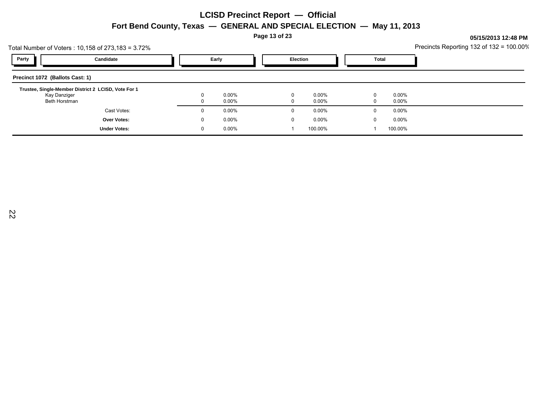**Page 13 of 23**

|                                 | Total Number of Voters : 10,158 of 273,183 = 3.72%  |          |                      |                 |                      |                      |        |                      | Precincts Reporting 132 of 132 = 100.00% |
|---------------------------------|-----------------------------------------------------|----------|----------------------|-----------------|----------------------|----------------------|--------|----------------------|------------------------------------------|
| Party                           | Candidate                                           |          | Early                | <b>Election</b> |                      | Total                |        |                      |                                          |
| Precinct 1072 (Ballots Cast: 1) |                                                     |          |                      |                 |                      |                      |        |                      |                                          |
|                                 | Trustee, Single-Member District 2 LCISD, Vote For 1 |          |                      |                 |                      |                      |        |                      |                                          |
| Kay Danziger<br>Beth Horstman   |                                                     |          | $0.00\%$<br>$0.00\%$ |                 | $\Omega$<br>$\Omega$ | $0.00\%$<br>$0.00\%$ | 0<br>0 | $0.00\%$<br>$0.00\%$ |                                          |
|                                 | Cast Votes:                                         | 0        | $0.00\%$             |                 | 0                    | $0.00\%$             | 0      | $0.00\%$             |                                          |
|                                 | <b>Over Votes:</b>                                  | $\Omega$ | $0.00\%$             |                 | 0                    | $0.00\%$             | 0      | $0.00\%$             |                                          |
|                                 | <b>Under Votes:</b>                                 | $\Omega$ | $0.00\%$             |                 |                      | 100.00%              |        | 100.00%              |                                          |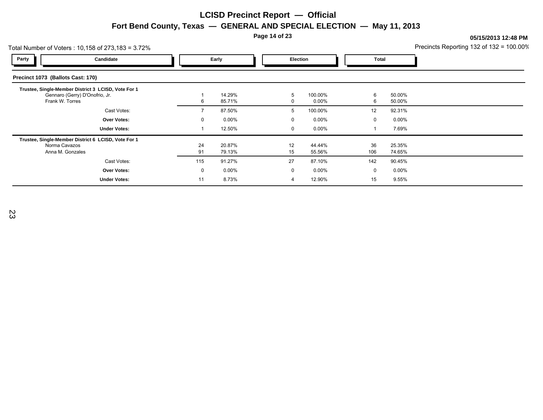**Page 14 of 23**

**05/15/2013 12:48 PM**

|                                   | Total Number of Voters: $10,158$ of 273,183 = 3.72%                                                      |          |                    |  |                 |                   |             | Precincts Reporting 132 of 132 = 100.00% |  |
|-----------------------------------|----------------------------------------------------------------------------------------------------------|----------|--------------------|--|-----------------|-------------------|-------------|------------------------------------------|--|
| Party                             | Candidate                                                                                                |          | Early              |  | <b>Election</b> |                   | Total       |                                          |  |
| Precinct 1073 (Ballots Cast: 170) |                                                                                                          |          |                    |  |                 |                   |             |                                          |  |
|                                   | Trustee, Single-Member District 3 LCISD, Vote For 1<br>Gennaro (Gerry) D'Onofrio, Jr.<br>Frank W. Torres | 6        | 14.29%<br>85.71%   |  | 5               | 100.00%<br>0.00%  | 6<br>6      | 50.00%<br>50.00%                         |  |
|                                   | Cast Votes:                                                                                              |          | 87.50%             |  | 5               | 100.00%           | 12          | 92.31%                                   |  |
|                                   | <b>Over Votes:</b><br><b>Under Votes:</b>                                                                | 0        | $0.00\%$<br>12.50% |  | $\Omega$<br>0   | 0.00%<br>$0.00\%$ | 0           | $0.00\%$<br>7.69%                        |  |
|                                   | Trustee, Single-Member District 6 LCISD, Vote For 1<br>Norma Cavazos<br>Anna M. Gonzales                 | 24<br>91 | 20.87%<br>79.13%   |  | 12<br>15        | 44.44%<br>55.56%  | 36<br>106   | 25.35%<br>74.65%                         |  |
|                                   | Cast Votes:                                                                                              | 115      | 91.27%             |  | 27              | 87.10%            | 142         | 90.45%                                   |  |
|                                   | <b>Over Votes:</b>                                                                                       | $\Omega$ | 0.00%              |  | $\mathbf{0}$    | 0.00%             | $\mathbf 0$ | $0.00\%$                                 |  |
|                                   | <b>Under Votes:</b>                                                                                      | 11       | 8.73%              |  | 4               | 12.90%            | 15          | 9.55%                                    |  |

23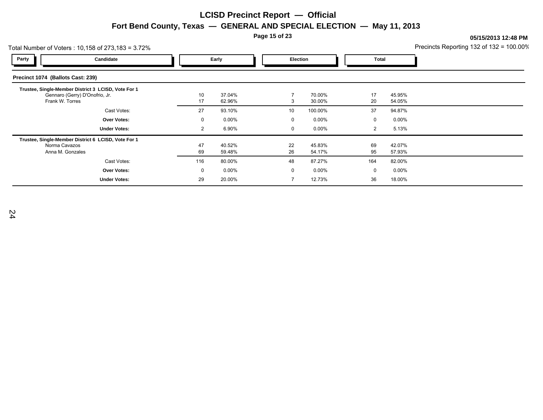**Page 15 of 23**

| Total Number of Voters: 10,158 of 273,183 = 3.72% |                                                                                                          |          |                  |  |             | Precincts Reporting 132 of 132 = 100.00% |              |                  |  |
|---------------------------------------------------|----------------------------------------------------------------------------------------------------------|----------|------------------|--|-------------|------------------------------------------|--------------|------------------|--|
| Party                                             | Candidate                                                                                                |          | Early            |  | Election    |                                          | <b>Total</b> |                  |  |
| Precinct 1074 (Ballots Cast: 239)                 |                                                                                                          |          |                  |  |             |                                          |              |                  |  |
|                                                   | Trustee, Single-Member District 3 LCISD, Vote For 1<br>Gennaro (Gerry) D'Onofrio, Jr.<br>Frank W. Torres | 10<br>17 | 37.04%<br>62.96% |  | 3           | 70.00%<br>30.00%                         | 17<br>20     | 45.95%<br>54.05% |  |
|                                                   | Cast Votes:                                                                                              | 27       | 93.10%           |  | 10          | 100.00%                                  | 37           | 94.87%           |  |
|                                                   | <b>Over Votes:</b>                                                                                       | 0        | 0.00%            |  | $\mathbf 0$ | $0.00\%$                                 | 0            | $0.00\%$         |  |
|                                                   | <b>Under Votes:</b>                                                                                      | 2        | 6.90%            |  | $\mathbf 0$ | $0.00\%$                                 | 2            | 5.13%            |  |
|                                                   | Trustee, Single-Member District 6 LCISD, Vote For 1<br>Norma Cavazos<br>Anna M. Gonzales                 | 47<br>69 | 40.52%<br>59.48% |  | 22<br>26    | 45.83%<br>54.17%                         | 69<br>95     | 42.07%<br>57.93% |  |
|                                                   | Cast Votes:                                                                                              | 116      | 80.00%           |  | 48          | 87.27%                                   | 164          | 82.00%           |  |
|                                                   | Over Votes:                                                                                              | 0        | 0.00%            |  | $\mathbf 0$ | $0.00\%$                                 | 0            | $0.00\%$         |  |
|                                                   | <b>Under Votes:</b>                                                                                      | 29       | 20.00%           |  |             | 12.73%                                   | 36           | 18.00%           |  |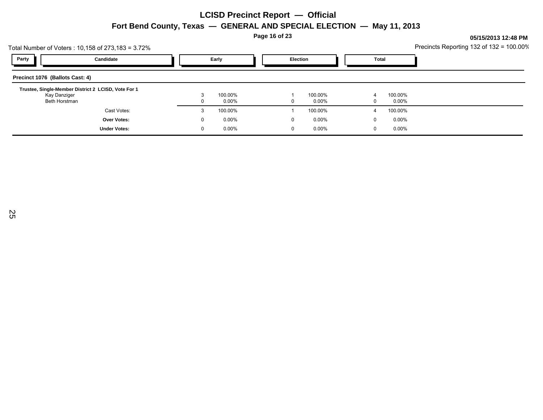**Page 16 of 23**

|                                 | Total Number of Voters : 10,158 of 273,183 = 3.72%  |              |                     |  |                 |                     |  |        |                  | Precincts Reporting 132 of 132 = 100.00% |
|---------------------------------|-----------------------------------------------------|--------------|---------------------|--|-----------------|---------------------|--|--------|------------------|------------------------------------------|
| Party                           | Candidate                                           |              | Early               |  | <b>Election</b> |                     |  | Total  |                  |                                          |
| Precinct 1076 (Ballots Cast: 4) |                                                     |              |                     |  |                 |                     |  |        |                  |                                          |
|                                 | Trustee, Single-Member District 2 LCISD, Vote For 1 |              |                     |  |                 |                     |  |        |                  |                                          |
| Kay Danziger<br>Beth Horstman   |                                                     |              | 100.00%<br>$0.00\%$ |  | $\Omega$        | 100.00%<br>$0.00\%$ |  | 4<br>0 | 100.00%<br>0.00% |                                          |
|                                 | Cast Votes:                                         | 3            | 100.00%             |  |                 | 100.00%             |  |        | 100.00%          |                                          |
|                                 |                                                     |              |                     |  |                 |                     |  | 4      |                  |                                          |
|                                 | Over Votes:                                         | $\mathbf{0}$ | $0.00\%$            |  | 0               | $0.00\%$            |  | 0      | $0.00\%$         |                                          |
|                                 | <b>Under Votes:</b>                                 | 0            | $0.00\%$            |  | 0               | $0.00\%$            |  | 0      | $0.00\%$         |                                          |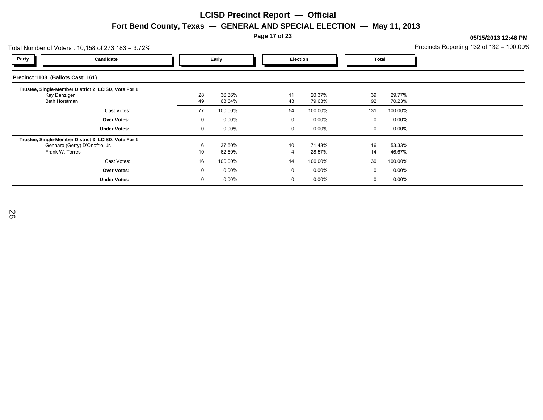**Page 17 of 23**

|                                   | Total Number of Voters: $10,158$ of 273,183 = 3.72%                                                      |          |                  |  |                 |                  |          | Precincts Reporting 132 of 132 = 100.00% |  |
|-----------------------------------|----------------------------------------------------------------------------------------------------------|----------|------------------|--|-----------------|------------------|----------|------------------------------------------|--|
| Party                             | Candidate                                                                                                |          | Early            |  | <b>Election</b> |                  |          | Total                                    |  |
| Precinct 1103 (Ballots Cast: 161) |                                                                                                          |          |                  |  |                 |                  |          |                                          |  |
| Kay Danziger<br>Beth Horstman     | Trustee, Single-Member District 2 LCISD, Vote For 1                                                      | 28<br>49 | 36.36%<br>63.64% |  | 11<br>43        | 20.37%<br>79.63% | 39<br>92 | 29.77%<br>70.23%                         |  |
|                                   | Cast Votes:                                                                                              | 77       | 100.00%          |  | 54              | 100.00%          | 131      | 100.00%                                  |  |
|                                   | Over Votes:                                                                                              | 0        | $0.00\%$         |  | 0               | 0.00%            | 0        | $0.00\%$                                 |  |
|                                   | <b>Under Votes:</b>                                                                                      | $\Omega$ | $0.00\%$         |  | 0               | $0.00\%$         | 0        | $0.00\%$                                 |  |
|                                   | Trustee, Single-Member District 3 LCISD, Vote For 1<br>Gennaro (Gerry) D'Onofrio, Jr.<br>Frank W. Torres | 6<br>10  | 37.50%<br>62.50% |  | 10              | 71.43%<br>28.57% | 16<br>14 | 53.33%<br>46.67%                         |  |
|                                   | Cast Votes:                                                                                              | 16       | 100.00%          |  | 14              | 100.00%          | 30       | 100.00%                                  |  |
|                                   | Over Votes:                                                                                              | $\Omega$ | 0.00%            |  | $\mathbf{0}$    | 0.00%            | 0        | $0.00\%$                                 |  |
|                                   | <b>Under Votes:</b>                                                                                      | $\Omega$ | $0.00\%$         |  | 0               | 0.00%            | 0        | 0.00%                                    |  |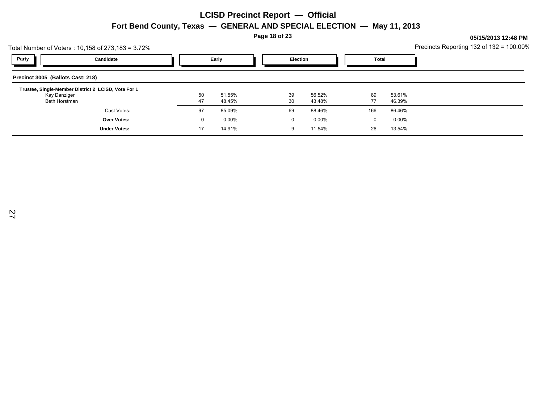**Page 18 of 23**

|                                   | Total Number of Voters : 10,158 of 273,183 = 3.72%  |              |                                   |  |    |          |     |          | Precincts Reporting 132 of 132 = 100.00% |
|-----------------------------------|-----------------------------------------------------|--------------|-----------------------------------|--|----|----------|-----|----------|------------------------------------------|
| Party                             | Candidate                                           |              | Early<br><b>Election</b><br>Total |  |    |          |     |          |                                          |
| Precinct 3005 (Ballots Cast: 218) |                                                     |              |                                   |  |    |          |     |          |                                          |
| Kay Danziger                      | Trustee, Single-Member District 2 LCISD, Vote For 1 | 50           | 51.55%                            |  | 39 | 56.52%   | 89  | 53.61%   |                                          |
| Beth Horstman                     |                                                     | 47           | 48.45%                            |  | 30 | 43.48%   | 77  | 46.39%   |                                          |
|                                   | Cast Votes:                                         | 97           | 85.09%                            |  | 69 | 88.46%   | 166 | 86.46%   |                                          |
|                                   | <b>Over Votes:</b>                                  | $\mathbf{0}$ | $0.00\%$                          |  | 0  | $0.00\%$ | 0   | $0.00\%$ |                                          |
|                                   | <b>Under Votes:</b>                                 | 17           | 14.91%                            |  | 9  | 11.54%   | 26  | 13.54%   |                                          |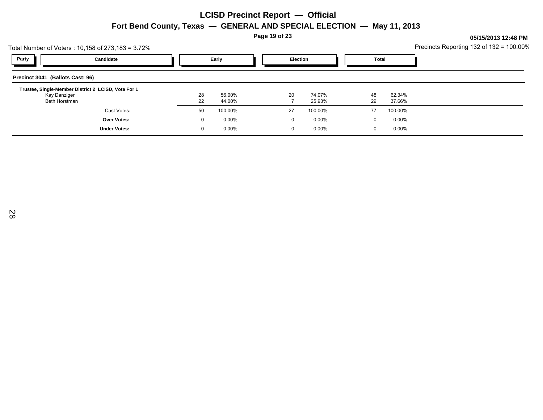**Page 19 of 23**

| Total Number of Voters : 10,158 of 273,183 = 3.72% |                                                     |          |                  |  |                 |                  |  |          |                  | Precincts Reporting 132 of 132 = 100.00% |
|----------------------------------------------------|-----------------------------------------------------|----------|------------------|--|-----------------|------------------|--|----------|------------------|------------------------------------------|
| Party                                              | Candidate                                           |          | Early            |  | <b>Election</b> |                  |  | Total    |                  |                                          |
| Precinct 3041 (Ballots Cast: 96)                   |                                                     |          |                  |  |                 |                  |  |          |                  |                                          |
|                                                    | Trustee, Single-Member District 2 LCISD, Vote For 1 |          |                  |  |                 |                  |  |          |                  |                                          |
| Kay Danziger<br>Beth Horstman                      |                                                     | 28<br>22 | 56.00%<br>44.00% |  | 20              | 74.07%<br>25.93% |  | 48<br>29 | 62.34%<br>37.66% |                                          |
|                                                    |                                                     |          |                  |  |                 |                  |  |          |                  |                                          |
|                                                    | Cast Votes:                                         | 50       | 100.00%          |  | 27              | 100.00%          |  | 77       | 100.00%          |                                          |
|                                                    | Over Votes:                                         | $\Omega$ | $0.00\%$         |  | 0               | $0.00\%$         |  | 0        | $0.00\%$         |                                          |
|                                                    | <b>Under Votes:</b>                                 | $\Omega$ | $0.00\%$         |  | 0               | $0.00\%$         |  | 0        | $0.00\%$         |                                          |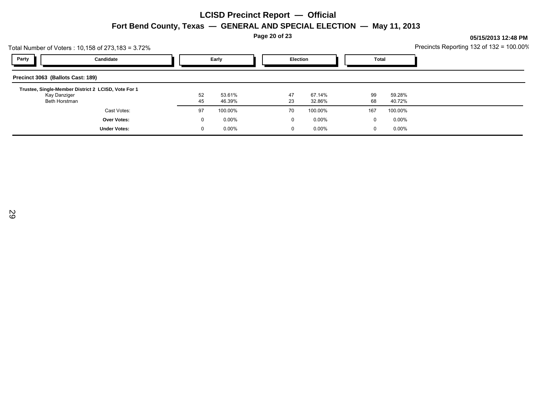**Page 20 of 23**

|                                   | Total Number of Voters: 10,158 of 273,183 = 3.72%   |    |          |  |              |          |              | Precincts Reporting 132 of 132 = 100.00% |  |
|-----------------------------------|-----------------------------------------------------|----|----------|--|--------------|----------|--------------|------------------------------------------|--|
| Party                             | Candidate                                           |    | Early    |  | Election     |          | <b>Total</b> |                                          |  |
| Precinct 3063 (Ballots Cast: 189) |                                                     |    |          |  |              |          |              |                                          |  |
|                                   | Trustee, Single-Member District 2 LCISD, Vote For 1 |    |          |  |              |          |              |                                          |  |
| Kay Danziger                      |                                                     | 52 | 53.61%   |  | 47           | 67.14%   | 99           | 59.28%                                   |  |
| Beth Horstman                     |                                                     | 45 | 46.39%   |  | 23           | 32.86%   | 68           | 40.72%                                   |  |
|                                   | Cast Votes:                                         | 97 | 100.00%  |  | 70           | 100.00%  | 167          | 100.00%                                  |  |
|                                   | <b>Over Votes:</b>                                  | O  | 0.00%    |  | $\mathbf{0}$ | $0.00\%$ | $\Omega$     | 0.00%                                    |  |
|                                   | <b>Under Votes:</b>                                 |    | $0.00\%$ |  | $\mathbf{0}$ | $0.00\%$ | 0            | 0.00%                                    |  |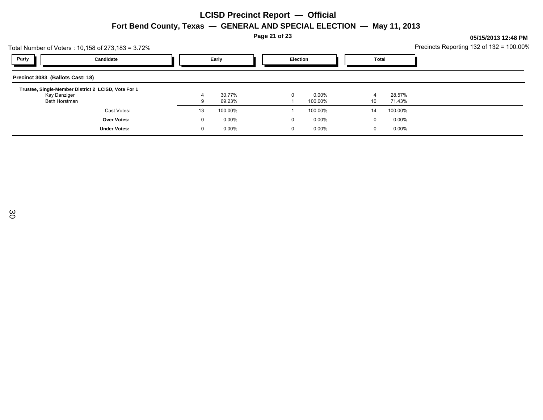**Page 21 of 23**

|                                  | Total Number of Voters: 10,158 of 273,183 = 3.72%   |    |                  |  |          |                     |              | Precincts Reporting 132 of 132 = 100.00% |  |
|----------------------------------|-----------------------------------------------------|----|------------------|--|----------|---------------------|--------------|------------------------------------------|--|
| <b>Party</b>                     | Candidate                                           |    | Early            |  | Election |                     | <b>Total</b> |                                          |  |
| Precinct 3083 (Ballots Cast: 18) |                                                     |    |                  |  |          |                     |              |                                          |  |
|                                  | Trustee, Single-Member District 2 LCISD, Vote For 1 |    |                  |  |          |                     |              |                                          |  |
| Kay Danziger<br>Beth Horstman    |                                                     |    | 30.77%<br>69.23% |  |          | $0.00\%$<br>100.00% | 4<br>10      | 28.57%<br>71.43%                         |  |
|                                  | Cast Votes:                                         | 13 | 100.00%          |  |          | 100.00%             | 14           | 100.00%                                  |  |
|                                  | Over Votes:                                         |    | $0.00\%$         |  | 0        | $0.00\%$            | $\Omega$     | $0.00\%$                                 |  |
|                                  | <b>Under Votes:</b>                                 |    | $0.00\%$         |  | $\Omega$ | 0.00%               | $\Omega$     | $0.00\%$                                 |  |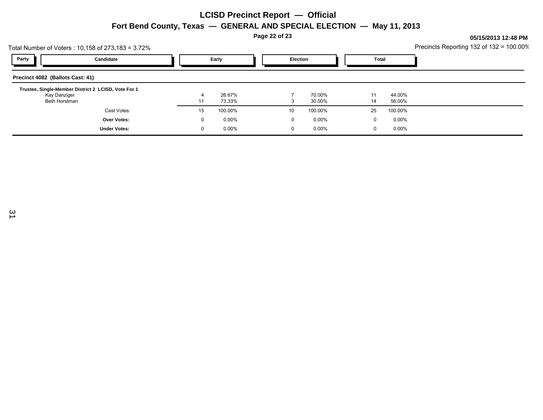**Page 22 of 23**

|              |          |        |                 |          |        |          | Precincts Reporting 132 of 132 = 100.00% |
|--------------|----------|--------|-----------------|----------|--------|----------|------------------------------------------|
|              | Early    |        | <b>Election</b> |          | Total  |          |                                          |
|              |          |        |                 |          |        |          |                                          |
|              |          |        |                 |          |        |          |                                          |
|              | 73.33%   |        | 3               | 30.00%   | 14     | 56.00%   |                                          |
| 15           | 100.00%  |        | 10              | 100.00%  | 25     | 100.00%  |                                          |
| $\mathbf{0}$ | $0.00\%$ |        | 0               | $0.00\%$ | 0      | $0.00\%$ |                                          |
| 0            | $0.00\%$ |        | 0               | $0.00\%$ | 0      | $0.00\%$ |                                          |
|              | 4        | 26.67% |                 |          | 70.00% | 11       | 44.00%                                   |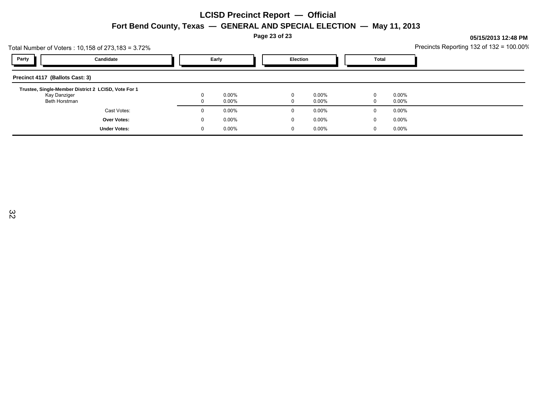**Page 23 of 23**

| Total Number of Voters : 10,158 of 273,183 = 3.72% |                                                     | Precincts Reporting 132 of 132 = 100.00% |          |  |                 |          |       |          |  |
|----------------------------------------------------|-----------------------------------------------------|------------------------------------------|----------|--|-----------------|----------|-------|----------|--|
| Party                                              | Candidate                                           |                                          | Early    |  | <b>Election</b> |          | Total |          |  |
| Precinct 4117 (Ballots Cast: 3)                    |                                                     |                                          |          |  |                 |          |       |          |  |
|                                                    | Trustee, Single-Member District 2 LCISD, Vote For 1 |                                          |          |  |                 |          |       |          |  |
| Kay Danziger                                       |                                                     | 0                                        | $0.00\%$ |  | 0               | $0.00\%$ | 0     | $0.00\%$ |  |
| Beth Horstman                                      |                                                     |                                          | $0.00\%$ |  | 0               | $0.00\%$ | 0     | $0.00\%$ |  |
|                                                    | Cast Votes:                                         | $\Omega$                                 | $0.00\%$ |  | 0               | $0.00\%$ | 0     | $0.00\%$ |  |
|                                                    | Over Votes:                                         | $\mathbf{0}$                             | $0.00\%$ |  | 0               | $0.00\%$ | 0     | $0.00\%$ |  |
|                                                    | <b>Under Votes:</b>                                 | 0                                        | $0.00\%$ |  | 0               | $0.00\%$ | 0     | $0.00\%$ |  |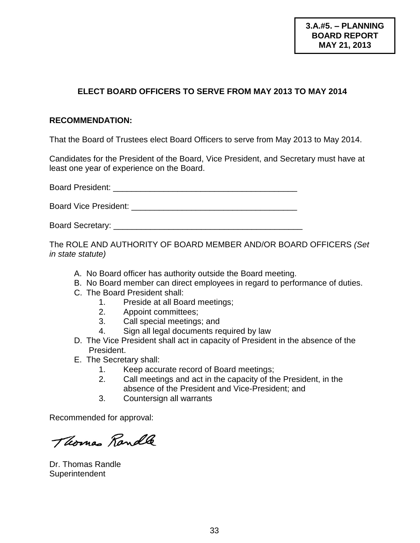#### **ELECT BOARD OFFICERS TO SERVE FROM MAY 2013 TO MAY 2014**

#### **RECOMMENDATION:**

That the Board of Trustees elect Board Officers to serve from May 2013 to May 2014.

Candidates for the President of the Board, Vice President, and Secretary must have at least one year of experience on the Board.

Board President: **Example 2018** 

Board Vice President: **Example 2018** 

Board Secretary: \_\_\_\_\_\_\_\_\_\_\_\_\_\_\_\_\_\_\_\_\_\_\_\_\_\_\_\_\_\_\_\_\_\_\_\_\_\_\_\_\_

The ROLE AND AUTHORITY OF BOARD MEMBER AND/OR BOARD OFFICERS *(Set in state statute)*

- A. No Board officer has authority outside the Board meeting.
- B. No Board member can direct employees in regard to performance of duties.
- C. The Board President shall:
	- 1. Preside at all Board meetings;
	- 2. Appoint committees;
	- 3. Call special meetings; and
	- 4. Sign all legal documents required by law
- D. The Vice President shall act in capacity of President in the absence of the President.
- E. The Secretary shall:
	- 1. Keep accurate record of Board meetings;
	- 2. Call meetings and act in the capacity of the President, in the absence of the President and Vice-President; and
	- 3. Countersign all warrants

Recommended for approval:

Thomas Randle

Dr. Thomas Randle **Superintendent**